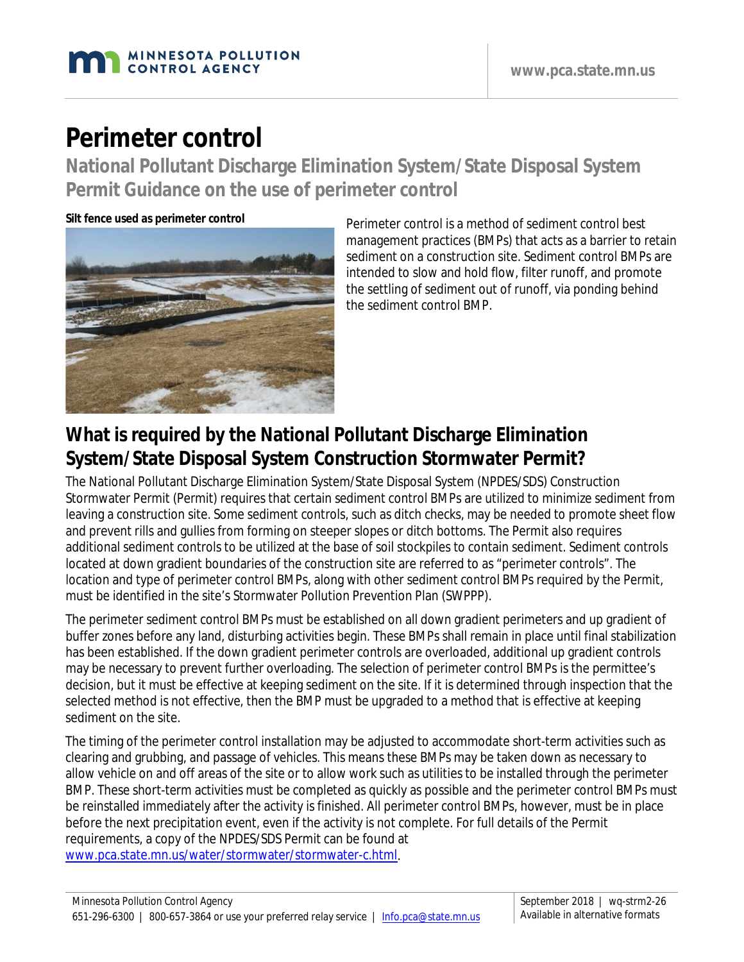

# **Perimeter control**

**National Pollutant Discharge Elimination System/State Disposal System Permit Guidance on the use of perimeter control**

**Silt fence used as perimeter control**



Perimeter control is a method of sediment control best management practices (BMPs) that acts as a barrier to retain sediment on a construction site. Sediment control BMPs are intended to slow and hold flow, filter runoff, and promote the settling of sediment out of runoff, via ponding behind the sediment control BMP.

# **What is required by the National Pollutant Discharge Elimination System/State Disposal System Construction Stormwater Permit?**

The National Pollutant Discharge Elimination System/State Disposal System (NPDES/SDS) Construction Stormwater Permit (Permit) requires that certain sediment control BMPs are utilized to minimize sediment from leaving a construction site. Some sediment controls, such as ditch checks, may be needed to promote sheet flow and prevent rills and gullies from forming on steeper slopes or ditch bottoms. The Permit also requires additional sediment controls to be utilized at the base of soil stockpiles to contain sediment. Sediment controls located at down gradient boundaries of the construction site are referred to as "perimeter controls". The location and type of perimeter control BMPs, along with other sediment control BMPs required by the Permit, must be identified in the site's Stormwater Pollution Prevention Plan (SWPPP).

The perimeter sediment control BMPs must be established on all down gradient perimeters and up gradient of buffer zones before any land, disturbing activities begin. These BMPs shall remain in place until final stabilization has been established. If the down gradient perimeter controls are overloaded, additional up gradient controls may be necessary to prevent further overloading. The selection of perimeter control BMPs is the permittee's decision, but it must be effective at keeping sediment on the site. If it is determined through inspection that the selected method is not effective, then the BMP must be upgraded to a method that is effective at keeping sediment on the site.

The timing of the perimeter control installation may be adjusted to accommodate short-term activities such as clearing and grubbing, and passage of vehicles. This means these BMPs may be taken down as necessary to allow vehicle on and off areas of the site or to allow work such as utilities to be installed through the perimeter BMP. These short-term activities must be completed as quickly as possible and the perimeter control BMPs must be reinstalled immediately after the activity is finished. All perimeter control BMPs, however, must be in place before the next precipitation event, even if the activity is not complete. For full details of the Permit requirements, a copy of the NPDES/SDS Permit can be found at [www.pca.state.mn.us/water/stormwater/stormwater-c.html.](http://www.pca.state.mn.us/water/stormwater/stormwater-c.html)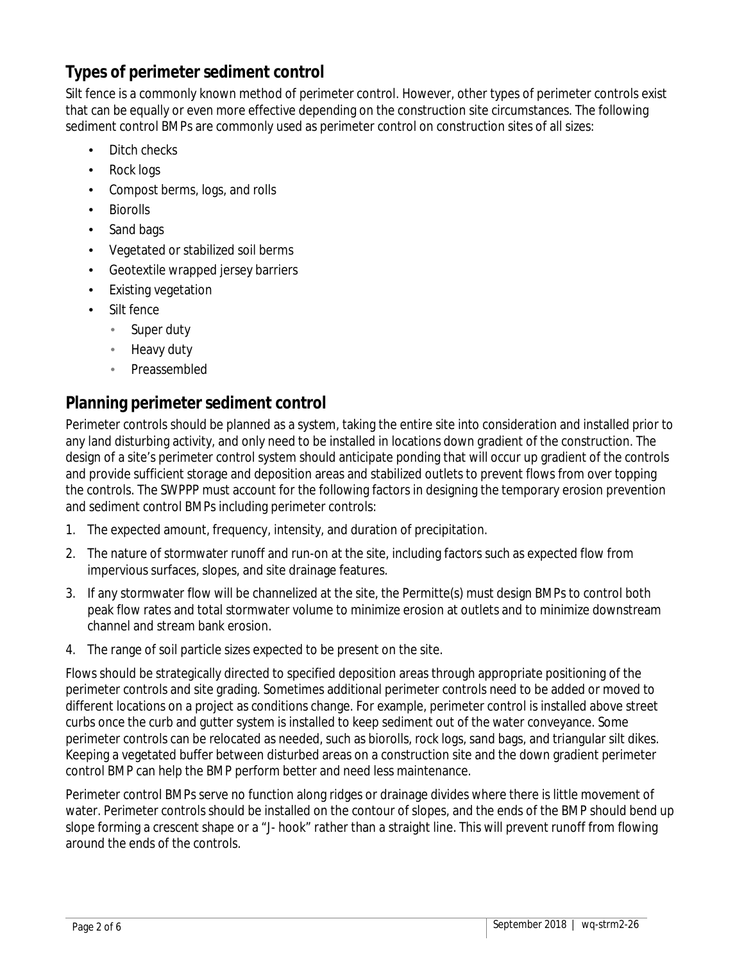### **Types of perimeter sediment control**

Silt fence is a commonly known method of perimeter control. However, other types of perimeter controls exist that can be equally or even more effective depending on the construction site circumstances. The following sediment control BMPs are commonly used as perimeter control on construction sites of all sizes:

- Ditch checks
- Rock logs
- Compost berms, logs, and rolls
- Biorolls
- Sand bags
- Vegetated or stabilized soil berms
- Geotextile wrapped jersey barriers
- Existing vegetation
- Silt fence
	- Super duty J.
	- Heavy duty
	- Preassembled

#### **Planning perimeter sediment control**

Perimeter controls should be planned as a system, taking the entire site into consideration and installed prior to any land disturbing activity, and only need to be installed in locations down gradient of the construction. The design of a site's perimeter control system should anticipate ponding that will occur up gradient of the controls and provide sufficient storage and deposition areas and stabilized outlets to prevent flows from over topping the controls. The SWPPP must account for the following factors in designing the temporary erosion prevention and sediment control BMPs including perimeter controls:

- 1. The expected amount, frequency, intensity, and duration of precipitation.
- 2. The nature of stormwater runoff and run-on at the site, including factors such as expected flow from impervious surfaces, slopes, and site drainage features.
- 3. If any stormwater flow will be channelized at the site, the Permitte(s) must design BMPs to control both peak flow rates and total stormwater volume to minimize erosion at outlets and to minimize downstream channel and stream bank erosion.
- 4. The range of soil particle sizes expected to be present on the site.

Flows should be strategically directed to specified deposition areas through appropriate positioning of the perimeter controls and site grading. Sometimes additional perimeter controls need to be added or moved to different locations on a project as conditions change. For example, perimeter control is installed above street curbs once the curb and gutter system is installed to keep sediment out of the water conveyance. Some perimeter controls can be relocated as needed, such as biorolls, rock logs, sand bags, and triangular silt dikes. Keeping a vegetated buffer between disturbed areas on a construction site and the down gradient perimeter control BMP can help the BMP perform better and need less maintenance.

Perimeter control BMPs serve no function along ridges or drainage divides where there is little movement of water. Perimeter controls should be installed on the contour of slopes, and the ends of the BMP should bend up slope forming a crescent shape or a "J- hook" rather than a straight line. This will prevent runoff from flowing around the ends of the controls.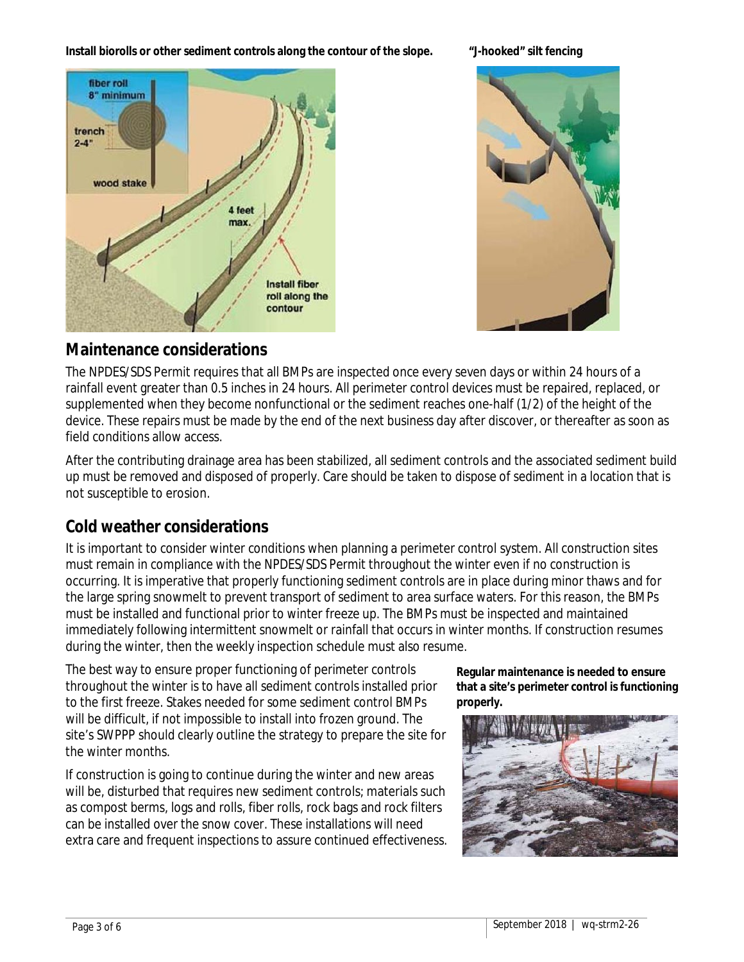**Install biorolls or other sediment controls along the contour of the slope. "J-hooked" silt fencing**





#### **Maintenance considerations**

The NPDES/SDS Permit requires that all BMPs are inspected once every seven days or within 24 hours of a rainfall event greater than 0.5 inches in 24 hours. All perimeter control devices must be repaired, replaced, or supplemented when they become nonfunctional or the sediment reaches one-half (1/2) of the height of the device. These repairs must be made by the end of the next business day after discover, or thereafter as soon as field conditions allow access.

After the contributing drainage area has been stabilized, all sediment controls and the associated sediment build up must be removed and disposed of properly. Care should be taken to dispose of sediment in a location that is not susceptible to erosion.

#### **Cold weather considerations**

It is important to consider winter conditions when planning a perimeter control system. All construction sites must remain in compliance with the NPDES/SDS Permit throughout the winter even if no construction is occurring. It is imperative that properly functioning sediment controls are in place during minor thaws and for the large spring snowmelt to prevent transport of sediment to area surface waters. For this reason, the BMPs must be installed and functional prior to winter freeze up. The BMPs must be inspected and maintained immediately following intermittent snowmelt or rainfall that occurs in winter months. If construction resumes during the winter, then the weekly inspection schedule must also resume.

The best way to ensure proper functioning of perimeter controls throughout the winter is to have all sediment controls installed prior to the first freeze. Stakes needed for some sediment control BMPs will be difficult, if not impossible to install into frozen ground. The site's SWPPP should clearly outline the strategy to prepare the site for the winter months.

If construction is going to continue during the winter and new areas will be, disturbed that requires new sediment controls; materials such as compost berms, logs and rolls, fiber rolls, rock bags and rock filters can be installed over the snow cover. These installations will need extra care and frequent inspections to assure continued effectiveness.

**Regular maintenance is needed to ensure that a site's perimeter control is functioning properly.**

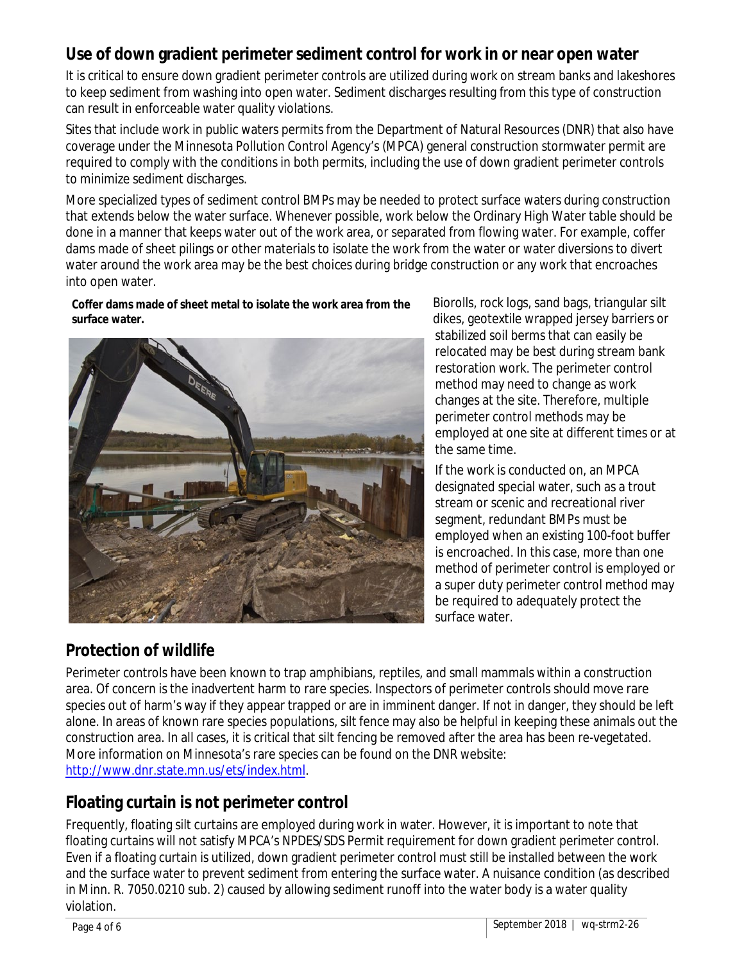#### **Use of down gradient perimeter sediment control for work in or near open water**

It is critical to ensure down gradient perimeter controls are utilized during work on stream banks and lakeshores to keep sediment from washing into open water. Sediment discharges resulting from this type of construction can result in enforceable water quality violations.

Sites that include work in public waters permits from the Department of Natural Resources (DNR) that also have coverage under the Minnesota Pollution Control Agency's (MPCA) general construction stormwater permit are required to comply with the conditions in both permits, including the use of down gradient perimeter controls to minimize sediment discharges.

More specialized types of sediment control BMPs may be needed to protect surface waters during construction that extends below the water surface. Whenever possible, work below the Ordinary High Water table should be done in a manner that keeps water out of the work area, or separated from flowing water. For example, coffer dams made of sheet pilings or other materials to isolate the work from the water or water diversions to divert water around the work area may be the best choices during bridge construction or any work that encroaches into open water.

**Coffer dams made of sheet metal to isolate the work area from the surface water.**



**Protection of wildlife**

Biorolls, rock logs, sand bags, triangular silt dikes, geotextile wrapped jersey barriers or stabilized soil berms that can easily be relocated may be best during stream bank restoration work. The perimeter control method may need to change as work changes at the site. Therefore, multiple perimeter control methods may be employed at one site at different times or at the same time.

If the work is conducted on, an MPCA designated special water, such as a trout stream or scenic and recreational river segment, redundant BMPs must be employed when an existing 100-foot buffer is encroached. In this case, more than one method of perimeter control is employed or a super duty perimeter control method may be required to adequately protect the surface water.

Perimeter controls have been known to trap amphibians, reptiles, and small mammals within a construction area. Of concern is the inadvertent harm to rare species. Inspectors of perimeter controls should move rare species out of harm's way if they appear trapped or are in imminent danger. If not in danger, they should be left alone. In areas of known rare species populations, silt fence may also be helpful in keeping these animals out the construction area. In all cases, it is critical that silt fencing be removed after the area has been re-vegetated. More information on Minnesota's rare species can be found on the DNR website: [http://www.dnr.state.mn.us/ets/index.html.](http://www.dnr.state.mn.us/ets/index.html)

#### **Floating curtain is not perimeter control**

Frequently, floating silt curtains are employed during work in water. However, it is important to note that floating curtains will not satisfy MPCA's NPDES/SDS Permit requirement for down gradient perimeter control. Even if a floating curtain is utilized, down gradient perimeter control must still be installed between the work and the surface water to prevent sediment from entering the surface water. A nuisance condition (as described in Minn. R. 7050.0210 sub. 2) caused by allowing sediment runoff into the water body is a water quality violation.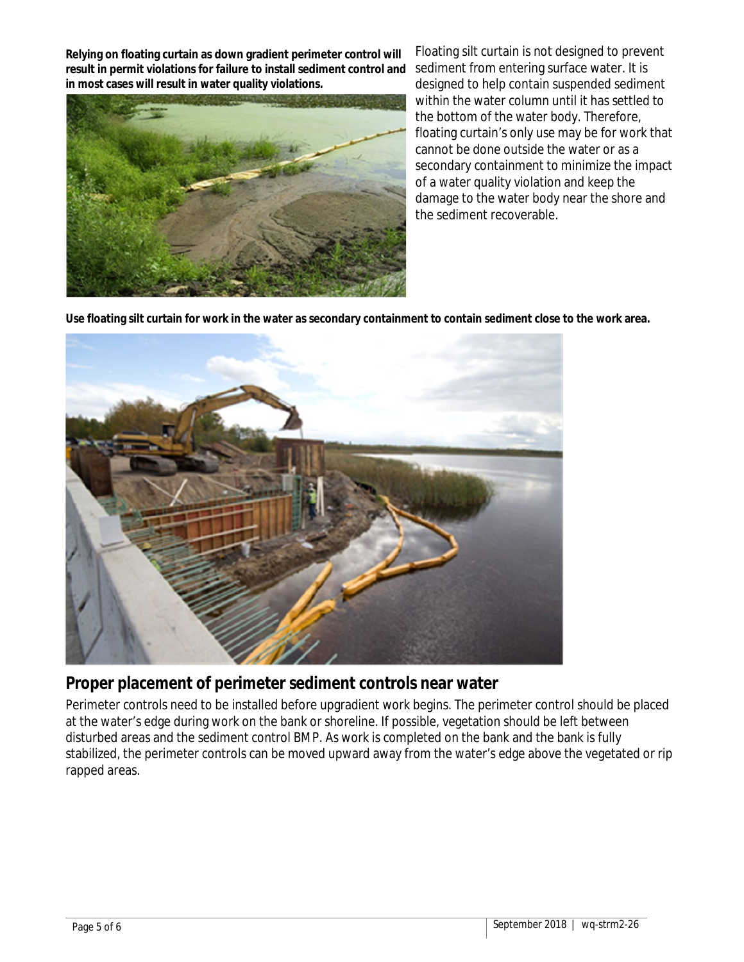**Relying on floating curtain as down gradient perimeter control will result in permit violations for failure to install sediment control and in most cases will result in water quality violations.**



Floating silt curtain is not designed to prevent sediment from entering surface water. It is designed to help contain suspended sediment within the water column until it has settled to the bottom of the water body. Therefore, floating curtain's only use may be for work that cannot be done outside the water or as a secondary containment to minimize the impact of a water quality violation and keep the damage to the water body near the shore and the sediment recoverable.

**Use floating silt curtain for work in the water as secondary containment to contain sediment close to the work area.**



#### **Proper placement of perimeter sediment controls near water**

Perimeter controls need to be installed before upgradient work begins. The perimeter control should be placed at the water's edge during work on the bank or shoreline. If possible, vegetation should be left between disturbed areas and the sediment control BMP. As work is completed on the bank and the bank is fully stabilized, the perimeter controls can be moved upward away from the water's edge above the vegetated or rip rapped areas.